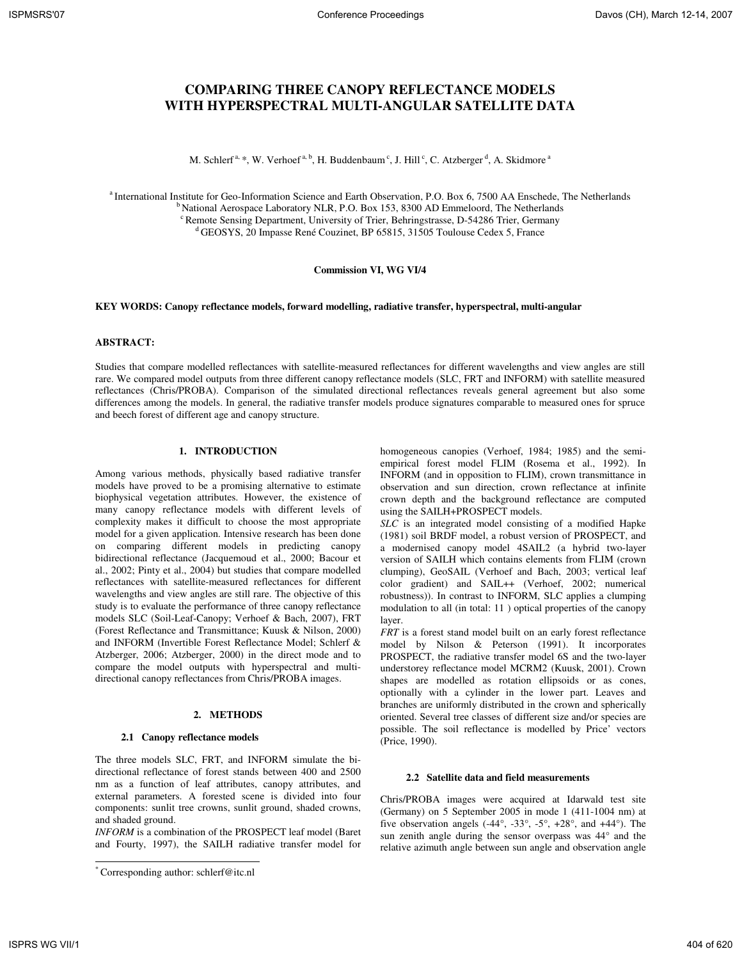# **COMPARING THREE CANOPY REFLECTANCE MODELS WITH HYPERSPECTRAL MULTI-ANGULAR SATELLITE DATA**

M. Schlerf<sup>a, \*</sup>, W. Verhoef<sup>a, b</sup>, H. Buddenbaum<sup>c</sup>, J. Hill<sup>c</sup>, C. Atzberger<sup>d</sup>, A. Skidmore<sup>a</sup>

<sup>a</sup> International Institute for Geo-Information Science and Earth Observation, P.O. Box 6, 7500 AA Enschede, The Netherlands  $b<sup>b</sup>$ National Aerospace Laboratory NLR, P.O. Box 153, 8300 AD Emmeloord, The Netherlands <sup>c</sup> Remote Sensing Department, University of Trier, Behringstrasse, D-54286 Trier, Germany <sup>d</sup>GEOSYS, 20 Impasse René Couzinet, BP 65815, 31505 Toulouse Cedex 5, France

### **Commission VI, WG VI/4**

#### **KEY WORDS: Canopy reflectance models, forward modelling, radiative transfer, hyperspectral, multi-angular**

# **ABSTRACT:**

Studies that compare modelled reflectances with satellite-measured reflectances for different wavelengths and view angles are still rare. We compared model outputs from three different canopy reflectance models (SLC, FRT and INFORM) with satellite measured reflectances (Chris/PROBA). Comparison of the simulated directional reflectances reveals general agreement but also some differences among the models. In general, the radiative transfer models produce signatures comparable to measured ones for spruce and beech forest of different age and canopy structure.

## **1. INTRODUCTION**

Among various methods, physically based radiative transfer models have proved to be a promising alternative to estimate biophysical vegetation attributes. However, the existence of many canopy reflectance models with different levels of complexity makes it difficult to choose the most appropriate model for a given application. Intensive research has been done on comparing different models in predicting canopy bidirectional reflectance (Jacquemoud et al., 2000; Bacour et al., 2002; Pinty et al., 2004) but studies that compare modelled reflectances with satellite-measured reflectances for different wavelengths and view angles are still rare. The objective of this study is to evaluate the performance of three canopy reflectance models SLC (Soil-Leaf-Canopy; Verhoef & Bach, 2007), FRT (Forest Reflectance and Transmittance; Kuusk & Nilson, 2000) and INFORM (Invertible Forest Reflectance Model; Schlerf & Atzberger, 2006; Atzberger, 2000) in the direct mode and to compare the model outputs with hyperspectral and multidirectional canopy reflectances from Chris/PROBA images.

#### **2. METHODS**

#### **2.1 Canopy reflectance models**

The three models SLC, FRT, and INFORM simulate the bidirectional reflectance of forest stands between 400 and 2500 nm as a function of leaf attributes, canopy attributes, and external parameters. A forested scene is divided into four components: sunlit tree crowns, sunlit ground, shaded crowns, and shaded ground.

*INFORM* is a combination of the PROSPECT leaf model (Baret and Fourty, 1997), the SAILH radiative transfer model for homogeneous canopies (Verhoef, 1984; 1985) and the semiempirical forest model FLIM (Rosema et al., 1992). In INFORM (and in opposition to FLIM), crown transmittance in observation and sun direction, crown reflectance at infinite crown depth and the background reflectance are computed using the SAILH+PROSPECT models.

*SLC* is an integrated model consisting of a modified Hapke (1981) soil BRDF model, a robust version of PROSPECT, and a modernised canopy model 4SAIL2 (a hybrid two-layer version of SAILH which contains elements from FLIM (crown clumping), GeoSAIL (Verhoef and Bach, 2003; vertical leaf color gradient) and SAIL++ (Verhoef, 2002; numerical robustness)). In contrast to INFORM, SLC applies a clumping modulation to all (in total: 11 ) optical properties of the canopy layer.

*FRT* is a forest stand model built on an early forest reflectance model by Nilson & Peterson (1991). It incorporates PROSPECT, the radiative transfer model 6S and the two-layer understorey reflectance model MCRM2 (Kuusk, 2001). Crown shapes are modelled as rotation ellipsoids or as cones, optionally with a cylinder in the lower part. Leaves and branches are uniformly distributed in the crown and spherically oriented. Several tree classes of different size and/or species are possible. The soil reflectance is modelled by Price' vectors (Price, 1990).

#### **2.2 Satellite data and field measurements**

Chris/PROBA images were acquired at Idarwald test site (Germany) on 5 September 2005 in mode 1 (411-1004 nm) at five observation angels  $(-44^{\circ}, -33^{\circ}, -5^{\circ}, +28^{\circ}, \text{ and } +44^{\circ})$ . The sun zenith angle during the sensor overpass was 44° and the relative azimuth angle between sun angle and observation angle

 $\overline{a}$ 

<sup>\*</sup> Corresponding author: schlerf@itc.nl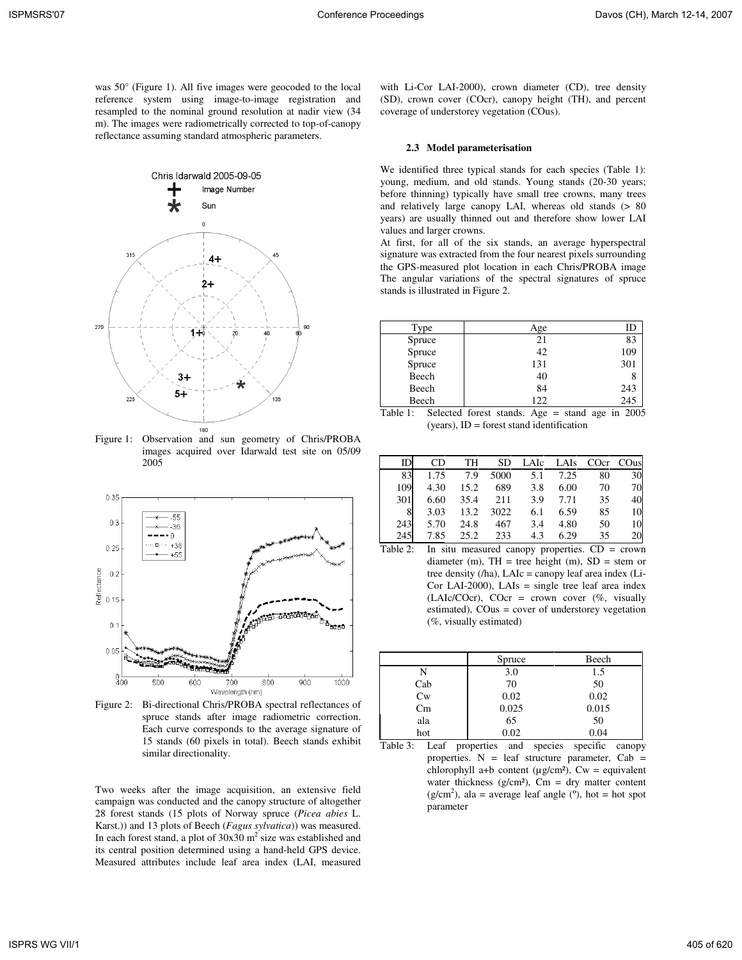was 50° (Figure 1). All five images were geocoded to the local reference system using image-to-image registration and resampled to the nominal ground resolution at nadir view (34 m). The images were radiometrically corrected to top-of-canopy reflectance assuming standard atmospheric parameters.



Figure 1: Observation and sun geometry of Chris/PROBA images acquired over Idarwald test site on 05/09 2005



Figure 2: Bi-directional Chris/PROBA spectral reflectances of spruce stands after image radiometric correction. Each curve corresponds to the average signature of 15 stands (60 pixels in total). Beech stands exhibit similar directionality.

Two weeks after the image acquisition, an extensive field campaign was conducted and the canopy structure of altogether 28 forest stands (15 plots of Norway spruce (*Picea abies* L. Karst.)) and 13 plots of Beech (*Fagus sylvatica*)) was measured. In each forest stand, a plot of  $30x30$  m<sup>2</sup> size was established and its central position determined using a hand-held GPS device. Measured attributes include leaf area index (LAI, measured

with Li-Cor LAI-2000), crown diameter (CD), tree density (SD), crown cover (COcr), canopy height (TH), and percent coverage of understorey vegetation (COus).

# **2.3 Model parameterisation**

We identified three typical stands for each species (Table 1): young, medium, and old stands. Young stands (20-30 years; before thinning) typically have small tree crowns, many trees and relatively large canopy LAI, whereas old stands (> 80 years) are usually thinned out and therefore show lower LAI values and larger crowns.

At first, for all of the six stands, an average hyperspectral signature was extracted from the four nearest pixels surrounding the GPS-measured plot location in each Chris/PROBA image The angular variations of the spectral signatures of spruce stands is illustrated in Figure 2.

| Type   | Age | ID  |
|--------|-----|-----|
| Spruce | 21  | 83  |
| Spruce | 42  | 109 |
| Spruce | 131 | 301 |
| Beech  | 40  |     |
| Beech  | 84  | 243 |
| Beech  | 122 | 245 |

Table 1: Selected forest stands. Age = stand age in 2005 (years), ID = forest stand identification

|     | CD   | TH   | SD   | LAIc | LAIs | COcr | CO <sub>us</sub> |
|-----|------|------|------|------|------|------|------------------|
| 83  | 1.75 | 7.9  | 5000 | 5.1  | 7.25 | 80   | 30               |
| 109 | 4.30 | 15.2 | 689  | 3.8  | 6.00 | 70   | 70               |
| 301 | 6.60 | 35.4 | 211  | 3.9  | 7.71 | 35   | 40               |
| 8   | 3.03 | 13.2 | 3022 | 6.1  | 6.59 | 85   | 10               |
| 243 | 5.70 | 24.8 | 467  | 3.4  | 4.80 | 50   | 10               |
| 245 | 7.85 | 25.2 | 233  | 4.3  | 6.29 | 35   | 20               |

Table 2: In situ measured canopy properties. CD = crown diameter (m),  $TH = tree$  height (m),  $SD = stem$  or tree density (/ha), LAIc = canopy leaf area index (Li-Cor LAI-2000), LAIs = single tree leaf area index (LAIc/COcr), COcr = crown cover  $(\%$ , visually estimated), COus = cover of understorey vegetation (%, visually estimated)

|         | Spruce | Beech |
|---------|--------|-------|
|         | 3.0    | 1.5   |
| Cab     | 70     | 50    |
| $C_{W}$ | 0.02   | 0.02  |
| Cm      | 0.025  | 0.015 |
| ala     | 65     | 50    |
| hot     | 0.02   | 0.04  |

Table 3: Leaf properties and species specific canopy properties.  $N =$  leaf structure parameter, Cab = chlorophyll a+b content ( $\mu$ g/cm<sup>2</sup>), Cw = equivalent water thickness ( $g/cm<sup>2</sup>$ ), Cm = dry matter content  $(g/cm<sup>2</sup>)$ , ala = average leaf angle (°), hot = hot spot parameter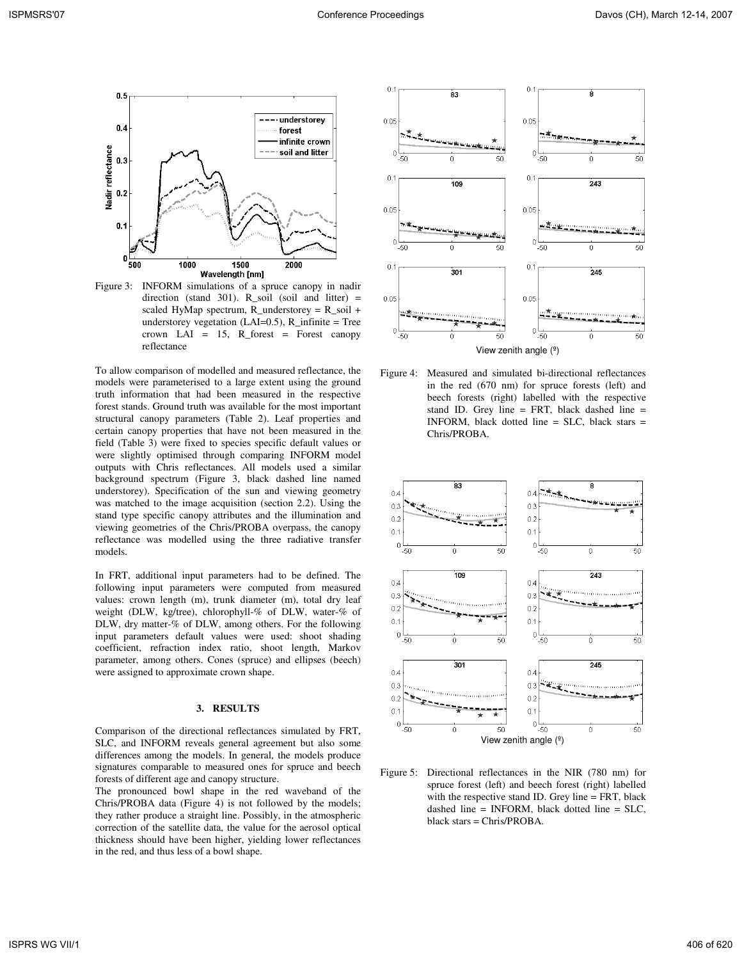

Figure 3: INFORM simulations of a spruce canopy in nadir direction (stand 301). R\_soil (soil and litter) = scaled HyMap spectrum, R\_understorey =  $R$ \_soil + understorey vegetation  $(LAI=0.5)$ , R\_infinite = Tree crown LAI =  $15$ , R\_forest = Forest canopy reflectance

To allow comparison of modelled and measured reflectance, the models were parameterised to a large extent using the ground truth information that had been measured in the respective forest stands. Ground truth was available for the most important structural canopy parameters (Table 2). Leaf properties and certain canopy properties that have not been measured in the field (Table 3) were fixed to species specific default values or were slightly optimised through comparing INFORM model outputs with Chris reflectances. All models used a similar background spectrum (Figure 3, black dashed line named understorey). Specification of the sun and viewing geometry was matched to the image acquisition (section 2.2). Using the stand type specific canopy attributes and the illumination and viewing geometries of the Chris/PROBA overpass, the canopy reflectance was modelled using the three radiative transfer models.

In FRT, additional input parameters had to be defined. The following input parameters were computed from measured values: crown length (m), trunk diameter (m), total dry leaf weight (DLW, kg/tree), chlorophyll-% of DLW, water-% of DLW, dry matter-% of DLW, among others. For the following input parameters default values were used: shoot shading coefficient, refraction index ratio, shoot length, Markov parameter, among others. Cones (spruce) and ellipses (beech) were assigned to approximate crown shape.

# **3. RESULTS**

Comparison of the directional reflectances simulated by FRT, SLC, and INFORM reveals general agreement but also some differences among the models. In general, the models produce signatures comparable to measured ones for spruce and beech forests of different age and canopy structure.

The pronounced bowl shape in the red waveband of the Chris/PROBA data (Figure 4) is not followed by the models; they rather produce a straight line. Possibly, in the atmospheric correction of the satellite data, the value for the aerosol optical thickness should have been higher, yielding lower reflectances in the red, and thus less of a bowl shape.



Figure 4: Measured and simulated bi-directional reflectances in the red (670 nm) for spruce forests (left) and beech forests (right) labelled with the respective stand ID. Grey line = FRT, black dashed line = INFORM, black dotted line = SLC, black stars = Chris/PROBA.



Figure 5: Directional reflectances in the NIR (780 nm) for spruce forest (left) and beech forest (right) labelled with the respective stand ID. Grey line = FRT, black dashed line = INFORM, black dotted line =  $SLC$ , black stars = Chris/PROBA.